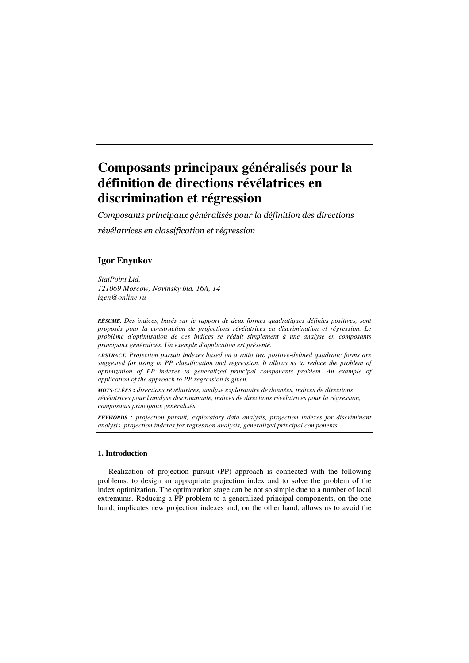# Composants principaux généralisés pour la définition de directions révélatrices en discrimination et régression

Composants principaux généralisés pour la définition des directions

révélatrices en classification et régression

## Igor Enyukov

StatPoint Ltd. 121069 Moscow, Novinsky bld. 16A, 14 igen@online.ru

RÉSUMÉ. Des indices, basés sur le rapport de deux formes quadratiques définies positives, sont proposés pour la construction de projections révélatrices en discrimination et régression. Le problème d'optimisation de ces indices se réduit simplement à une analyse en composants principaux généralisés. Un exemple d'application est présenté.

ABSTRACT. Projection pursuit indexes based on a ratio two positive-defined quadratic forms are suggested for using in PP classification and regression. It allows us to reduce the problem of optimization of PP indexes to generalized principal components problem. An example of application of the approach to PP regression is given.

MOTS-CLÉFS : directions révélatrices, analyse exploratoire de données, indices de directions révélatrices pour l'analyse discriminante, indices de directions révélatrices pour la régression, composants principaux généralisés.

KEYWORDS : projection pursuit, exploratory data analysis, projection indexes for discriminant analysis, projection indexes for regression analysis, generalized principal components

### 1. Introduction

Realization of projection pursuit (PP) approach is connected with the following problems: to design an appropriate projection index and to solve the problem of the index optimization. The optimization stage can be not so simple due to a number of local extremums. Reducing a PP problem to a generalized principal components, on the one hand, implicates new projection indexes and, on the other hand, allows us to avoid the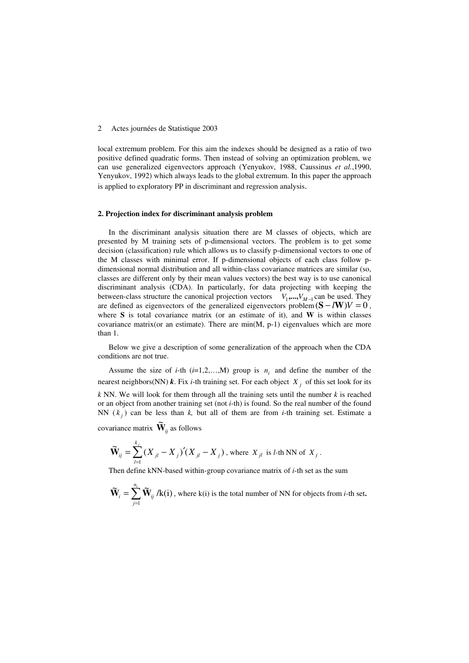#### 2 Actes journées de Statistique 2003

local extremum problem. For this aim the indexes should be designed as a ratio of two positive defined quadratic forms. Then instead of solving an optimization problem, we can use generalized eigenvectors approach (Yenyukov, 1988, Caussinus et al.,1990, Yenyukov, 1992) which always leads to the global extremum. In this paper the approach is applied to exploratory PP in discriminant and regression analysis.

### 2. Projection index for discriminant analysis problem

In the discriminant analysis situation there are M classes of objects, which are presented by M training sets of p-dimensional vectors. The problem is to get some decision (classification) rule which allows us to classify p-dimensional vectors to one of the M classes with minimal error. If p-dimensional objects of each class follow pdimensional normal distribution and all within-class covariance matrices are similar (so, classes are different only by their mean values vectors) the best way is to use canonical discriminant analysis (CDA). In particularly, for data projecting with keeping the between-class structure the canonical projection vectors  $V_1, ..., V_{M-1}$  can be used. They are defined as eigenvectors of the generalized eigenvectors problem $(S - lW)V = 0$ , where  $S$  is total covariance matrix (or an estimate of it), and  $W$  is within classes covariance matrix(or an estimate). There are  $min(M, p-1)$  eigenvalues which are more than 1.

Below we give a description of some generalization of the approach when the CDA conditions are not true.

Assume the size of *i*-th  $(i=1,2,...,M)$  group is  $n_i$  and define the number of the nearest neighbors(NN)  $\boldsymbol{k}$ . Fix *i*-th training set. For each object  $X_j$  of this set look for its  $k$  NN. We will look for them through all the training sets until the number  $k$  is reached or an object from another training set (not  $i$ -th) is found. So the real number of the found NN  $(k_j)$  can be less than k, but all of them are from *i*-th training set. Estimate a covariance matrix  $\widetilde{\mathbf{W}}_{ij}$  as follows

k

$$
\widetilde{\mathbf{W}}_{ij} = \sum_{l=1}^{k_j} (X_{jl} - X_j)' (X_{jl} - X_j), \text{ where } X_{jl} \text{ is } l\text{-th NN of } X_j.
$$

Then define kNN-based within-group covariance matrix of  $i$ -th set as the sum

$$
\widetilde{\mathbf{W}}_i = \sum_{j=1}^{n_i} \widetilde{\mathbf{W}}_{ij} / k(i)
$$
, where k(i) is the total number of NN for objects from *i*-th set.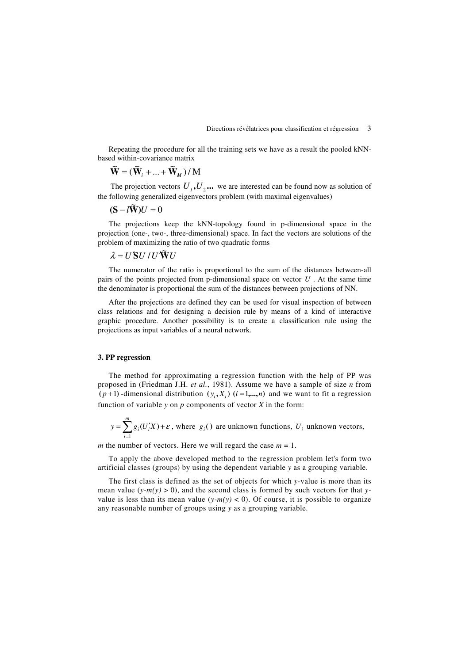Repeating the procedure for all the training sets we have as a result the pooled kNNbased within-covariance matrix

$$
\widetilde{\mathbf{W}} = (\widetilde{\mathbf{W}}_i + \dots + \widetilde{\mathbf{W}}_M) / \mathbf{M}
$$

The projection vectors  $U_1, U_2, \ldots$  we are interested can be found now as solution of the following generalized eigenvectors problem (with maximal eigenvalues)

$$
(\mathbf{S} - l\widetilde{\mathbf{W}})U = 0
$$

The projections keep the kNN-topology found in p-dimensional space in the projection (one-, two-, three-dimensional) space. In fact the vectors are solutions of the problem of maximizing the ratio of two quadratic forms

# $\lambda = U' S U / U' \widetilde{W} U$

The numerator of the ratio is proportional to the sum of the distances between-all pairs of the points projected from p-dimensional space on vector  $U$ . At the same time the denominator is proportional the sum of the distances between projections of NN.

After the projections are defined they can be used for visual inspection of between class relations and for designing a decision rule by means of a kind of interactive graphic procedure. Another possibility is to create a classification rule using the projections as input variables of a neural network.

### 3. PP regression

The method for approximating a regression function with the help of PP was proposed in (Friedman J.H. et al., 1981). Assume we have a sample of size n from  $(p+1)$ -dimensional distribution  $(y_i, X_i)$   $(i = 1,...,n)$  and we want to fit a regression function of variable y on  $p$  components of vector  $X$  in the form:

$$
y = \sum_{i=1}^{m} g_i(U'_i X) + \varepsilon
$$
, where  $g_i()$  are unknown functions,  $U_i$  unknown vectors,

m the number of vectors. Here we will regard the case  $m = 1$ .

To apply the above developed method to the regression problem let's form two artificial classes (groups) by using the dependent variable y as a grouping variable.

The first class is defined as the set of objects for which y-value is more than its mean value  $(y-m(y) > 0)$ , and the second class is formed by such vectors for that yvalue is less than its mean value  $(y-m(y) < 0)$ . Of course, it is possible to organize any reasonable number of groups using y as a grouping variable.